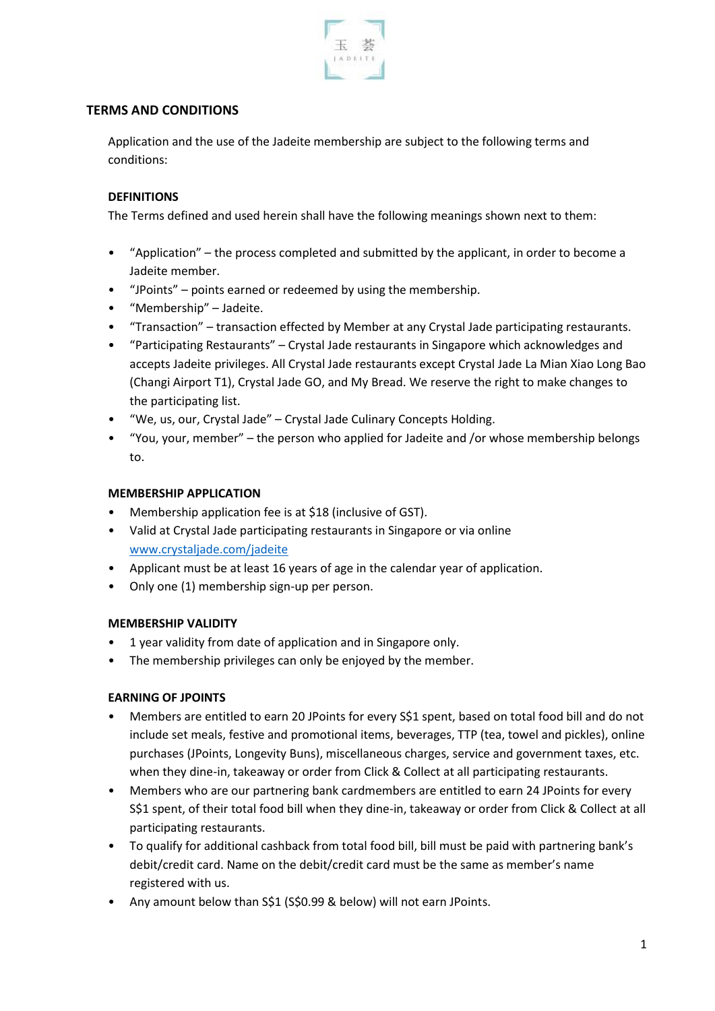

## **TERMS AND CONDITIONS**

Application and the use of the Jadeite membership are subject to the following terms and conditions:

## **DEFINITIONS**

The Terms defined and used herein shall have the following meanings shown next to them:

- "Application" the process completed and submitted by the applicant, in order to become a Jadeite member.
- "JPoints" points earned or redeemed by using the membership.
- "Membership" Jadeite.
- "Transaction" transaction effected by Member at any Crystal Jade participating restaurants.
- "Participating Restaurants" Crystal Jade restaurants in Singapore which acknowledges and accepts Jadeite privileges. All Crystal Jade restaurants except Crystal Jade La Mian Xiao Long Bao (Changi Airport T1), Crystal Jade GO, and My Bread. We reserve the right to make changes to the participating list.
- "We, us, our, Crystal Jade" Crystal Jade Culinary Concepts Holding.
- "You, your, member" the person who applied for Jadeite and /or whose membership belongs to.

## **MEMBERSHIP APPLICATION**

- Membership application fee is at \$18 (inclusive of GST).
- Valid at Crystal Jade participating restaurants in Singapore or via online [www.crystaljade.com/jadeite](http://www.crystaljade.com/jadeite)
- Applicant must be at least 16 years of age in the calendar year of application.
- Only one (1) membership sign-up per person.

## **MEMBERSHIP VALIDITY**

- 1 year validity from date of application and in Singapore only.
- The membership privileges can only be enjoyed by the member.

## **EARNING OF JPOINTS**

- Members are entitled to earn 20 JPoints for every S\$1 spent, based on total food bill and do not include set meals, festive and promotional items, beverages, TTP (tea, towel and pickles), online purchases (JPoints, Longevity Buns), miscellaneous charges, service and government taxes, etc. when they dine-in, takeaway or order from Click & Collect at all participating restaurants.
- Members who are our partnering bank cardmembers are entitled to earn 24 JPoints for every S\$1 spent, of their total food bill when they dine-in, takeaway or order from Click & Collect at all participating restaurants.
- To qualify for additional cashback from total food bill, bill must be paid with partnering bank's debit/credit card. Name on the debit/credit card must be the same as member's name registered with us.
- Any amount below than S\$1 (S\$0.99 & below) will not earn JPoints.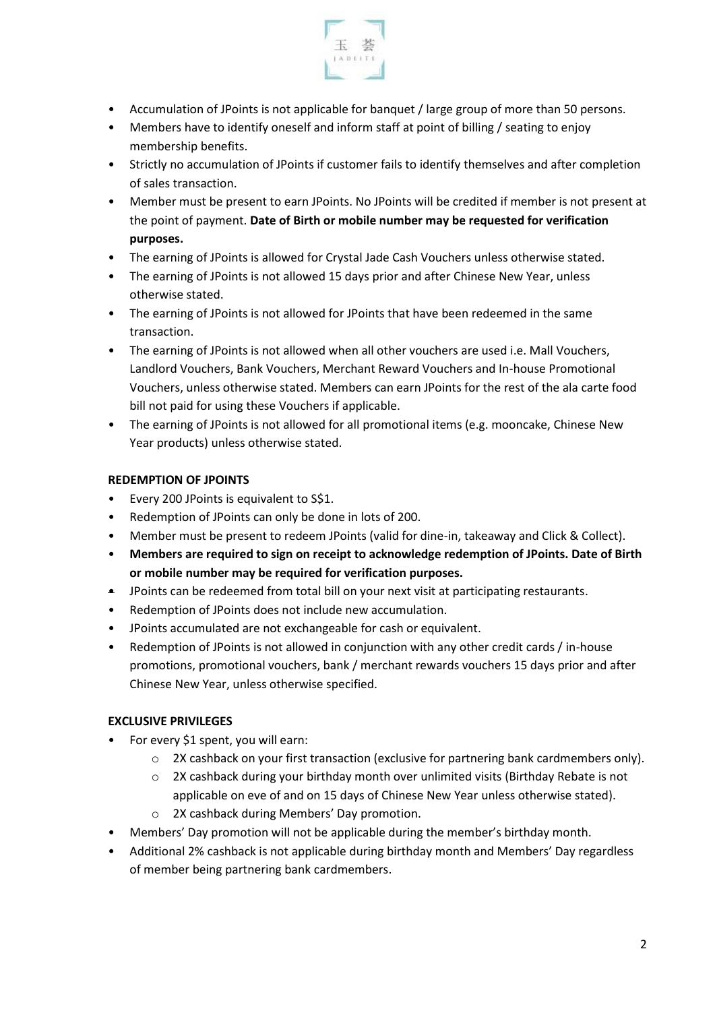

- Accumulation of JPoints is not applicable for banquet / large group of more than 50 persons.
- Members have to identify oneself and inform staff at point of billing / seating to enjoy membership benefits.
- Strictly no accumulation of JPoints if customer fails to identify themselves and after completion of sales transaction.
- Member must be present to earn JPoints. No JPoints will be credited if member is not present at the point of payment. **Date of Birth or mobile number may be requested for verification purposes.**
- The earning of JPoints is allowed for Crystal Jade Cash Vouchers unless otherwise stated.
- The earning of JPoints is not allowed 15 days prior and after Chinese New Year, unless otherwise stated.
- The earning of JPoints is not allowed for JPoints that have been redeemed in the same transaction.
- The earning of JPoints is not allowed when all other vouchers are used i.e. Mall Vouchers, Landlord Vouchers, Bank Vouchers, Merchant Reward Vouchers and In-house Promotional Vouchers, unless otherwise stated. Members can earn JPoints for the rest of the ala carte food bill not paid for using these Vouchers if applicable.
- The earning of JPoints is not allowed for all promotional items (e.g. mooncake, Chinese New Year products) unless otherwise stated.

# **REDEMPTION OF JPOINTS**

- Every 200 JPoints is equivalent to S\$1.
- Redemption of JPoints can only be done in lots of 200.
- Member must be present to redeem JPoints (valid for dine-in, takeaway and Click & Collect).
- **Members are required to sign on receipt to acknowledge redemption of JPoints. Date of Birth or mobile number may be required for verification purposes.**
- JPoints can be redeemed from total bill on your next visit at participating restaurants.
- Redemption of JPoints does not include new accumulation.
- JPoints accumulated are not exchangeable for cash or equivalent.
- Redemption of JPoints is not allowed in conjunction with any other credit cards / in-house promotions, promotional vouchers, bank / merchant rewards vouchers 15 days prior and after Chinese New Year, unless otherwise specified.

## **EXCLUSIVE PRIVILEGES**

- For every \$1 spent, you will earn:
	- $\circ$  2X cashback on your first transaction (exclusive for partnering bank cardmembers only).
	- o 2X cashback during your birthday month over unlimited visits (Birthday Rebate is not applicable on eve of and on 15 days of Chinese New Year unless otherwise stated).
	- o 2X cashback during Members' Day promotion.
- Members' Day promotion will not be applicable during the member's birthday month.
- Additional 2% cashback is not applicable during birthday month and Members' Day regardless of member being partnering bank cardmembers.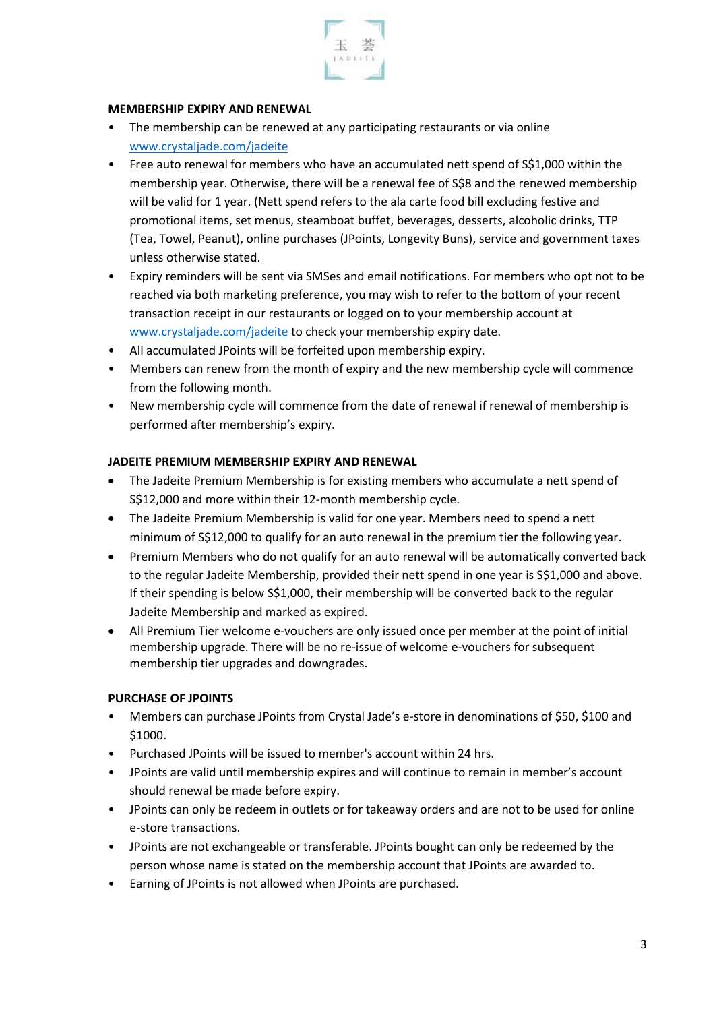

#### **MEMBERSHIP EXPIRY AND RENEWAL**

- The membership can be renewed at any participating restaurants or via online [www.crystaljade.com/](http://www.crystaljade.com/)jadeite
- Free auto renewal for members who have an accumulated nett spend of S\$1,000 within the membership year. Otherwise, there will be a renewal fee of S\$8 and the renewed membership will be valid for 1 year. (Nett spend refers to the ala carte food bill excluding festive and promotional items, set menus, steamboat buffet, beverages, desserts, alcoholic drinks, TTP (Tea, Towel, Peanut), online purchases (JPoints, Longevity Buns), service and government taxes unless otherwise stated.
- Expiry reminders will be sent via SMSes and email notifications. For members who opt not to be reached via both marketing preference, you may wish to refer to the bottom of your recent transaction receipt in our restaurants or logged on to your membership account at [www.crystaljade.com/](http://www.crystaljade.com/)jadeite to check your membership expiry date.
- All accumulated JPoints will be forfeited upon membership expiry.
- Members can renew from the month of expiry and the new membership cycle will commence from the following month.
- New membership cycle will commence from the date of renewal if renewal of membership is performed after membership's expiry.

## **JADEITE PREMIUM MEMBERSHIP EXPIRY AND RENEWAL**

- The Jadeite Premium Membership is for existing members who accumulate a nett spend of S\$12,000 and more within their 12-month membership cycle.
- The Jadeite Premium Membership is valid for one year. Members need to spend a nett minimum of S\$12,000 to qualify for an auto renewal in the premium tier the following year.
- Premium Members who do not qualify for an auto renewal will be automatically converted back to the regular Jadeite Membership, provided their nett spend in one year is S\$1,000 and above. If their spending is below S\$1,000, their membership will be converted back to the regular Jadeite Membership and marked as expired.
- All Premium Tier welcome e-vouchers are only issued once per member at the point of initial membership upgrade. There will be no re-issue of welcome e-vouchers for subsequent membership tier upgrades and downgrades.

## **PURCHASE OF JPOINTS**

- Members can purchase JPoints from Crystal Jade's e-store in denominations of \$50, \$100 and \$1000.
- Purchased JPoints will be issued to member's account within 24 hrs.
- JPoints are valid until membership expires and will continue to remain in member's account should renewal be made before expiry.
- JPoints can only be redeem in outlets or for takeaway orders and are not to be used for online e-store transactions.
- JPoints are not exchangeable or transferable. JPoints bought can only be redeemed by the person whose name is stated on the membership account that JPoints are awarded to.
- Earning of JPoints is not allowed when JPoints are purchased.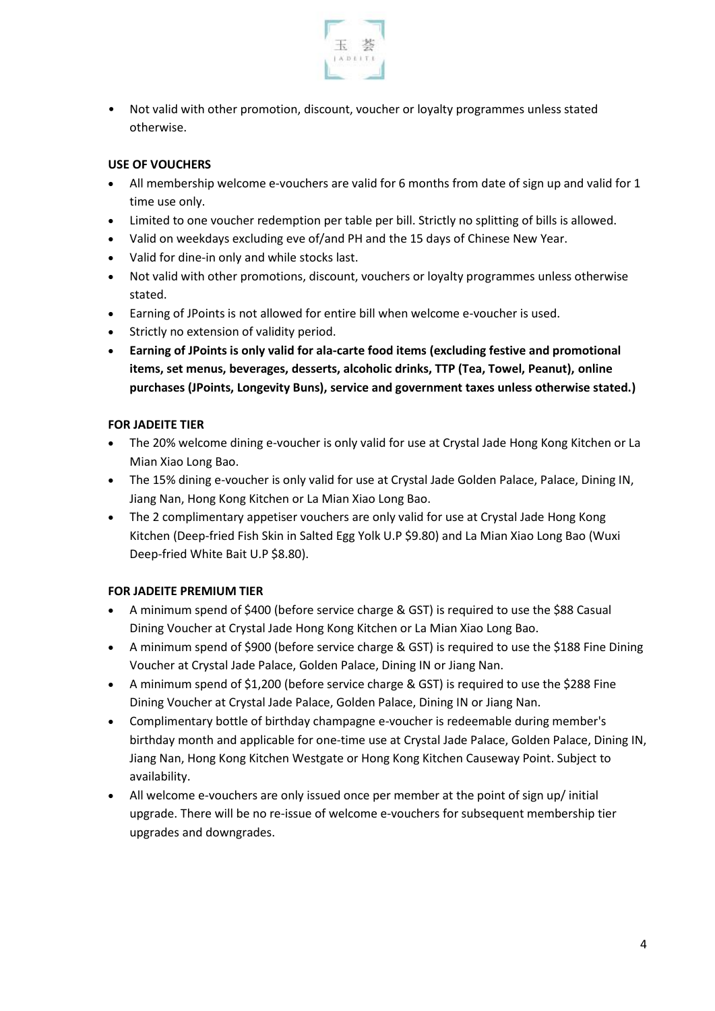

• Not valid with other promotion, discount, voucher or loyalty programmes unless stated otherwise.

# **USE OF VOUCHERS**

- All membership welcome e-vouchers are valid for 6 months from date of sign up and valid for 1 time use only.
- Limited to one voucher redemption per table per bill. Strictly no splitting of bills is allowed.
- Valid on weekdays excluding eve of/and PH and the 15 days of Chinese New Year.
- Valid for dine-in only and while stocks last.
- Not valid with other promotions, discount, vouchers or loyalty programmes unless otherwise stated.
- Earning of JPoints is not allowed for entire bill when welcome e-voucher is used.
- Strictly no extension of validity period.
- **Earning of JPoints is only valid for ala-carte food items (excluding festive and promotional items, set menus, beverages, desserts, alcoholic drinks, TTP (Tea, Towel, Peanut), online purchases (JPoints, Longevity Buns), service and government taxes unless otherwise stated.)**

## **FOR JADEITE TIER**

- The 20% welcome dining e-voucher is only valid for use at Crystal Jade Hong Kong Kitchen or La Mian Xiao Long Bao.
- The 15% dining e-voucher is only valid for use at Crystal Jade Golden Palace, Palace, Dining IN, Jiang Nan, Hong Kong Kitchen or La Mian Xiao Long Bao.
- The 2 complimentary appetiser vouchers are only valid for use at Crystal Jade Hong Kong Kitchen (Deep-fried Fish Skin in Salted Egg Yolk U.P \$9.80) and La Mian Xiao Long Bao (Wuxi Deep-fried White Bait U.P \$8.80).

## **FOR JADEITE PREMIUM TIER**

- A minimum spend of \$400 (before service charge & GST) is required to use the \$88 Casual Dining Voucher at Crystal Jade Hong Kong Kitchen or La Mian Xiao Long Bao.
- A minimum spend of \$900 (before service charge & GST) is required to use the \$188 Fine Dining Voucher at Crystal Jade Palace, Golden Palace, Dining IN or Jiang Nan.
- A minimum spend of \$1,200 (before service charge & GST) is required to use the \$288 Fine Dining Voucher at Crystal Jade Palace, Golden Palace, Dining IN or Jiang Nan.
- Complimentary bottle of birthday champagne e-voucher is redeemable during member's birthday month and applicable for one-time use at Crystal Jade Palace, Golden Palace, Dining IN, Jiang Nan, Hong Kong Kitchen Westgate or Hong Kong Kitchen Causeway Point. Subject to availability.
- All welcome e-vouchers are only issued once per member at the point of sign up/ initial upgrade. There will be no re-issue of welcome e-vouchers for subsequent membership tier upgrades and downgrades.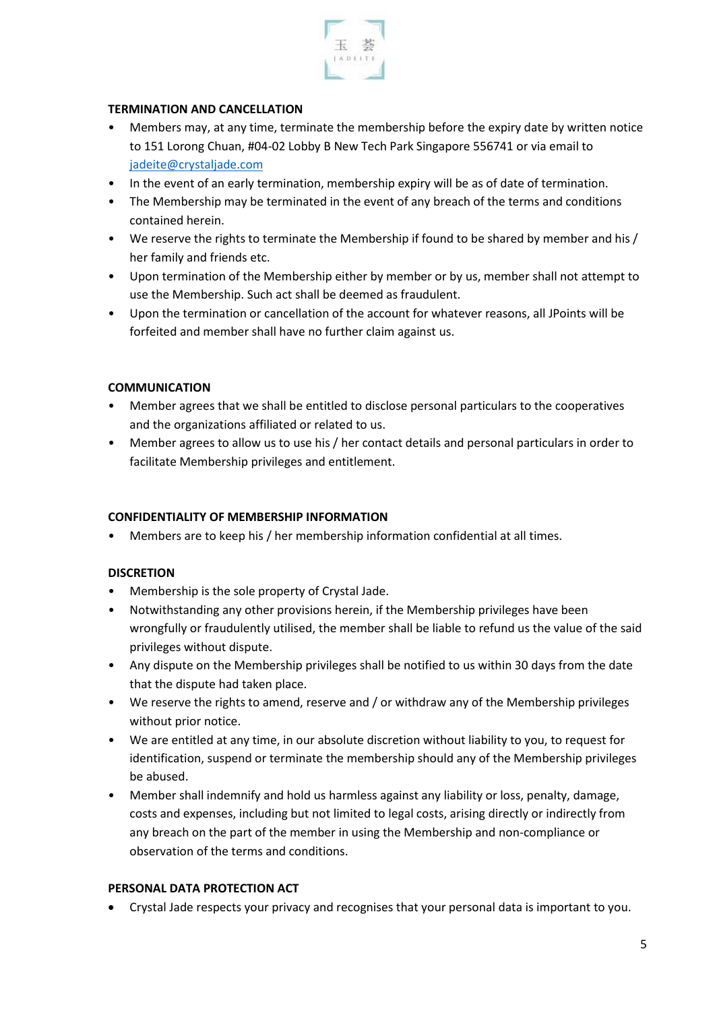

## **TERMINATION AND CANCELLATION**

- Members may, at any time, terminate the membership before the expiry date by written notice to 151 Lorong Chuan, #04-02 Lobby B New Tech Park Singapore 556741 or via email to [jadeite@crystaljade.com](mailto:jadeite@crystaljade.com)
- In the event of an early termination, membership expiry will be as of date of termination.
- The Membership may be terminated in the event of any breach of the terms and conditions contained herein.
- We reserve the rights to terminate the Membership if found to be shared by member and his / her family and friends etc.
- Upon termination of the Membership either by member or by us, member shall not attempt to use the Membership. Such act shall be deemed as fraudulent.
- Upon the termination or cancellation of the account for whatever reasons, all JPoints will be forfeited and member shall have no further claim against us.

#### **COMMUNICATION**

- Member agrees that we shall be entitled to disclose personal particulars to the cooperatives and the organizations affiliated or related to us.
- Member agrees to allow us to use his / her contact details and personal particulars in order to facilitate Membership privileges and entitlement.

#### **CONFIDENTIALITY OF MEMBERSHIP INFORMATION**

Members are to keep his / her membership information confidential at all times.

#### **DISCRETION**

- Membership is the sole property of Crystal Jade.
- Notwithstanding any other provisions herein, if the Membership privileges have been wrongfully or fraudulently utilised, the member shall be liable to refund us the value of the said privileges without dispute.
- Any dispute on the Membership privileges shall be notified to us within 30 days from the date that the dispute had taken place.
- We reserve the rights to amend, reserve and / or withdraw any of the Membership privileges without prior notice.
- We are entitled at any time, in our absolute discretion without liability to you, to request for identification, suspend or terminate the membership should any of the Membership privileges be abused.
- Member shall indemnify and hold us harmless against any liability or loss, penalty, damage, costs and expenses, including but not limited to legal costs, arising directly or indirectly from any breach on the part of the member in using the Membership and non-compliance or observation of the terms and conditions.

#### **PERSONAL DATA PROTECTION ACT**

• Crystal Jade respects your privacy and recognises that your personal data is important to you.